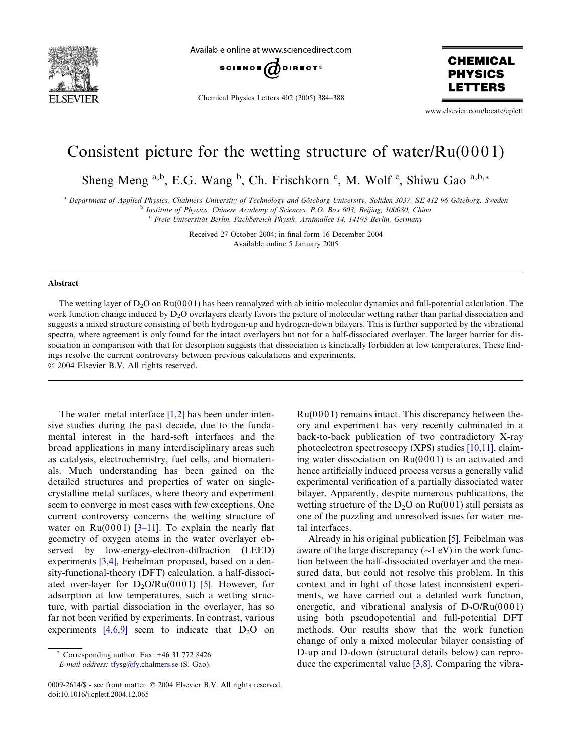

Available online at www.sciencedirect.com



Chemical Physics Letters 402 (2005) 384–388

**CHEMICAL PHYSICS** ETTERS

www.elsevier.com/locate/cplett

# Consistent picture for the wetting structure of water/ $Ru(0001)$

Sheng Meng <sup>a,b</sup>, E.G. Wang <sup>b</sup>, Ch. Frischkorn <sup>c</sup>, M. Wolf <sup>c</sup>, Shiwu Gao <sup>a,b,\*</sup>

a Department of Applied Physics, Chalmers University of Technology and Göteborg University, Soliden 3037, SE-412 96 Göteborg, Sweden b Institute of Physics, Chinese Academy of Sciences, P.O. Box 603, Beijing, 100080, China

 $\epsilon$  Freie Universität Berlin, Fachbereich Physik, Arnimallee 14, 14195 Berlin, Germany

Received 27 October 2004; in final form 16 December 2004 Available online 5 January 2005

# Abstract

The wetting layer of  $D_2O$  on  $Ru(0001)$  has been reanalyzed with ab initio molecular dynamics and full-potential calculation. The work function change induced by D<sub>2</sub>O overlayers clearly favors the picture of molecular wetting rather than partial dissociation and suggests a mixed structure consisting of both hydrogen-up and hydrogen-down bilayers. This is further supported by the vibrational spectra, where agreement is only found for the intact overlayers but not for a half-dissociated overlayer. The larger barrier for dissociation in comparison with that for desorption suggests that dissociation is kinetically forbidden at low temperatures. These findings resolve the current controversy between previous calculations and experiments. 2004 Elsevier B.V. All rights reserved.

The water–metal interface [\[1,2\]](#page-3-0) has been under intensive studies during the past decade, due to the fundamental interest in the hard-soft interfaces and the broad applications in many interdisciplinary areas such as catalysis, electrochemistry, fuel cells, and biomaterials. Much understanding has been gained on the detailed structures and properties of water on singlecrystalline metal surfaces, where theory and experiment seem to converge in most cases with few exceptions. One current controversy concerns the wetting structure of water on  $Ru(0001)$  [3-11]. To explain the nearly flat geometry of oxygen atoms in the water overlayer observed by low-energy-electron-diffraction (LEED) experiments [\[3,4\],](#page-3-0) Feibelman proposed, based on a density-functional-theory (DFT) calculation, a half-dissociated over-layer for  $D_2O/Ru(0001)$  [\[5\]](#page-3-0). However, for adsorption at low temperatures, such a wetting structure, with partial dissociation in the overlayer, has so far not been verified by experiments. In contrast, various experiments  $[4,6,9]$  seem to indicate that  $D_2O$  on

E-mail address: [tfysg@fy.chalmers.se](mailto:tfysg@fy.chalmers.se ) (S. Gao).

 $Ru(0001)$  remains intact. This discrepancy between theory and experiment has very recently culminated in a back-to-back publication of two contradictory X-ray photoelectron spectroscopy (XPS) studies [\[10,11\]](#page-3-0), claiming water dissociation on  $Ru(0001)$  is an activated and hence artificially induced process versus a generally valid experimental verification of a partially dissociated water bilayer. Apparently, despite numerous publications, the wetting structure of the  $D_2O$  on  $Ru(001)$  still persists as one of the puzzling and unresolved issues for water–metal interfaces.

Already in his original publication [\[5\]](#page-3-0), Feibelman was aware of the large discrepancy ( $\sim$ 1 eV) in the work function between the half-dissociated overlayer and the measured data, but could not resolve this problem. In this context and in light of those latest inconsistent experiments, we have carried out a detailed work function, energetic, and vibrational analysis of  $D_2O/Ru(0001)$ using both pseudopotential and full-potential DFT methods. Our results show that the work function change of only a mixed molecular bilayer consisting of D-up and D-down (structural details below) can reproduce the experimental value [\[3,8\]](#page-3-0). Comparing the vibra-

Corresponding author. Fax: +46 31 772 8426.

<sup>0009-2614/\$ -</sup> see front matter © 2004 Elsevier B.V. All rights reserved. doi:10.1016/j.cplett.2004.12.065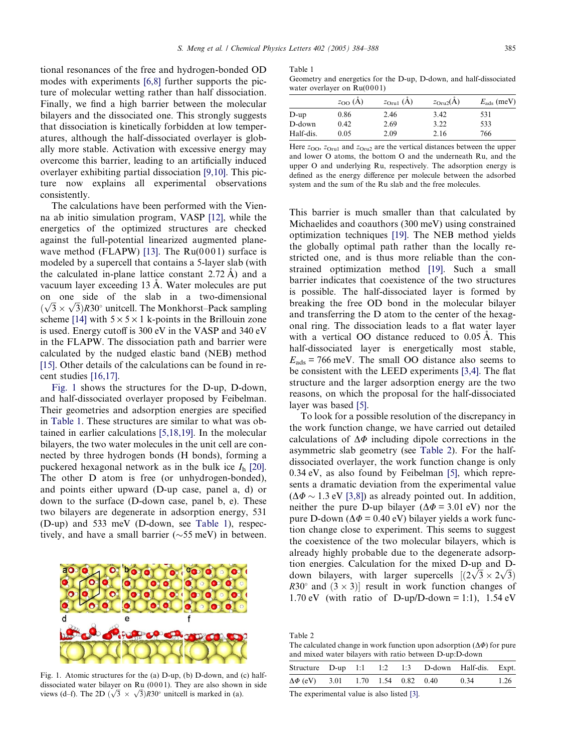<span id="page-1-0"></span>tional resonances of the free and hydrogen-bonded OD modes with experiments [\[6,8\]](#page-3-0) further supports the picture of molecular wetting rather than half dissociation. Finally, we find a high barrier between the molecular bilayers and the dissociated one. This strongly suggests that dissociation is kinetically forbidden at low temperatures, although the half-dissociated overlayer is globally more stable. Activation with excessive energy may overcome this barrier, leading to an artificially induced overlayer exhibiting partial dissociation [\[9,10\]](#page-3-0). This picture now explains all experimental observations consistently.

The calculations have been performed with the Vienna ab initio simulation program, VASP [\[12\],](#page-3-0) while the energetics of the optimized structures are checked against the full-potential linearized augmented plane-wave method (FLAPW) [\[13\].](#page-3-0) The  $Ru(0001)$  surface is modeled by a supercell that contains a 5-layer slab (with the calculated in-plane lattice constant  $2.72 \text{ Å}$ ) and a vacuum layer exceeding 13 A. Water molecules are put on one side of the slab in a two-dimensional on one side of the stab in a two-dimensional  $(\sqrt{3} \times \sqrt{3})$ R30° unitcell. The Monkhorst–Pack sampling scheme [\[14\]](#page-3-0) with  $5 \times 5 \times 1$  k-points in the Brillouin zone is used. Energy cutoff is 300 eV in the VASP and 340 eV in the FLAPW. The dissociation path and barrier were calculated by the nudged elastic band (NEB) method [\[15\].](#page-3-0) Other details of the calculations can be found in recent studies [\[16,17\].](#page-4-0)

Fig. 1 shows the structures for the D-up, D-down, and half-dissociated overlayer proposed by Feibelman. Their geometries and adsorption energies are specified in Table 1. These structures are similar to what was obtained in earlier calculations [\[5,18,19\].](#page-3-0) In the molecular bilayers, the two water molecules in the unit cell are connected by three hydrogen bonds (H bonds), forming a puckered hexagonal network as in the bulk ice  $I<sub>h</sub>$  [\[20\].](#page-4-0) The other D atom is free (or unhydrogen-bonded), and points either upward (D-up case, panel a, d) or down to the surface (D-down case, panel b, e). These two bilayers are degenerate in adsorption energy, 531 (D-up) and 533 meV (D-down, see Table 1), respectively, and have a small barrier ( $\sim$ 55 meV) in between.

Fig. 1. Atomic structures for the (a) D-up, (b) D-down, and (c) halfdissociated water bilayer on Ru  $(0001)$ . They are also shown in side dissociated water bilayer on Ku (0001). They are also shown<br>views (d–f). The 2D ( $\sqrt{3} \times \sqrt{3}$ )*R*30° unitcell is marked in (a).

### Table 1

Geometry and energetics for the D-up, D-down, and half-dissociated water overlayer on Ru(0001)

|           | $z_{OO}(A)$ | $z_{\text{Orul}}(A)$ | $z_{\text{Oru2}}(A)$ | $E_{\rm ads}$ (meV) |
|-----------|-------------|----------------------|----------------------|---------------------|
| $D$ -up   | 0.86        | 2.46                 | 3.42                 | 531                 |
| D-down    | 0.42        | 2.69                 | 3.22                 | 533                 |
| Half-dis. | 0.05        | 2.09                 | 2.16                 | 766                 |

Here  $z_{\text{OO}}$ ,  $z_{\text{Oru1}}$  and  $z_{\text{Oru2}}$  are the vertical distances between the upper and lower O atoms, the bottom O and the underneath Ru, and the upper O and underlying Ru, respectively. The adsorption energy is defined as the energy difference per molecule between the adsorbed system and the sum of the Ru slab and the free molecules.

This barrier is much smaller than that calculated by Michaelides and coauthors (300 meV) using constrained optimization techniques [\[19\]](#page-4-0). The NEB method yields the globally optimal path rather than the locally restricted one, and is thus more reliable than the constrained optimization method [\[19\].](#page-4-0) Such a small barrier indicates that coexistence of the two structures is possible. The half-dissociated layer is formed by breaking the free OD bond in the molecular bilayer and transferring the D atom to the center of the hexagonal ring. The dissociation leads to a flat water layer with a vertical OO distance reduced to  $0.05 \text{ Å}$ . This half-dissociated layer is energetically most stable,  $E_{ads}$  = 766 meV. The small OO distance also seems to be consistent with the LEED experiments [\[3,4\]](#page-3-0). The flat structure and the larger adsorption energy are the two reasons, on which the proposal for the half-dissociated layer was based [\[5\]](#page-3-0).

To look for a possible resolution of the discrepancy in the work function change, we have carried out detailed calculations of  $\Delta\Phi$  including dipole corrections in the asymmetric slab geometry (see Table 2). For the halfdissociated overlayer, the work function change is only 0.34 eV, as also found by Feibelman [\[5\],](#page-3-0) which represents a dramatic deviation from the experimental value  $(\Delta \Phi \sim 1.3 \text{ eV}$  [\[3,8\]\)](#page-3-0) as already pointed out. In addition, neither the pure D-up bilayer ( $\Delta \Phi = 3.01$  eV) nor the pure D-down ( $\Delta \Phi$  = 0.40 eV) bilayer yields a work function change close to experiment. This seems to suggest the coexistence of the two molecular bilayers, which is already highly probable due to the degenerate adsorption energies. Calculation for the mixed D-up and Dfluon energies. Calculation for the mixed D-up and D-<br>down bilayers, with larger supercells  $[(2\sqrt{3} \times 2\sqrt{3})]$  $R30^\circ$  and  $(3 \times 3)$ ] result in work function changes of 1.70 eV (with ratio of D-up/D-down = 1:1), 1.54 eV

Table 2

The calculated change in work function upon adsorption  $(\Delta \Phi)$  for pure and mixed water bilayers with ratio between D-up:D-down

|  |  |  | Structure D-up 1:1 1:2 1:3 D-down Half-dis. Expt.    |  |
|--|--|--|------------------------------------------------------|--|
|  |  |  | $\Delta\Phi$ (eV) 3.01 1.70 1.54 0.82 0.40 0.34 1.26 |  |

The experimental value is also listed [\[3\]](#page-3-0).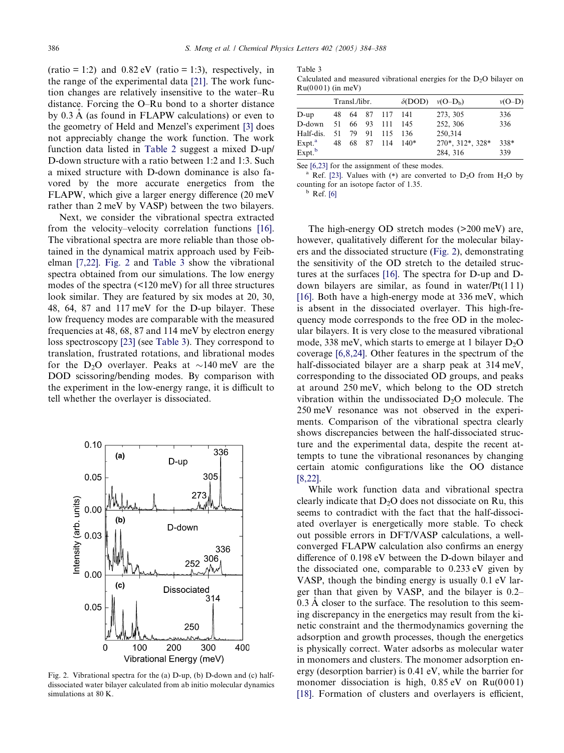<span id="page-2-0"></span> $(ratio = 1:2)$  and  $0.82$  eV  $(ratio = 1:3)$ , respectively, in the range of the experimental data [\[21\]](#page-4-0). The work function changes are relatively insensitive to the water–Ru distance. Forcing the O–Ru bond to a shorter distance by  $0.3 \text{ Å}$  (as found in FLAPW calculations) or even to the geometry of Held and Menzel's experiment [\[3\]](#page-3-0) does not appreciably change the work function. The work function data listed in [Table 2](#page-1-0) suggest a mixed D-up/ D-down structure with a ratio between 1:2 and 1:3. Such a mixed structure with D-down dominance is also favored by the more accurate energetics from the FLAPW, which give a larger energy difference (20 meV rather than 2 meV by VASP) between the two bilayers.

Next, we consider the vibrational spectra extracted from the velocity–velocity correlation functions [\[16\]](#page-4-0). The vibrational spectra are more reliable than those obtained in the dynamical matrix approach used by Feibelman [\[7,22\].](#page-3-0) Fig. 2 and Table 3 show the vibrational spectra obtained from our simulations. The low energy modes of the spectra (<120 meV) for all three structures look similar. They are featured by six modes at 20, 30, 48, 64, 87 and 117 meV for the D-up bilayer. These low frequency modes are comparable with the measured frequencies at 48, 68, 87 and 114 meV by electron energy loss spectroscopy [\[23\]](#page-4-0) (see Table 3). They correspond to translation, frustrated rotations, and librational modes for the D<sub>2</sub>O overlayer. Peaks at  $\sim$ 140 meV are the DOD scissoring/bending modes. By comparison with the experiment in the low-energy range, it is difficult to tell whether the overlayer is dissociated.



Fig. 2. Vibrational spectra for the (a) D-up, (b) D-down and (c) halfdissociated water bilayer calculated from ab initio molecular dynamics simulations at 80 K.

Table 3 Calculated and measured vibrational energies for the  $D_2O$  bilayer on  $R_{11}(0001)$  (in meV)

|                    | Transl./libr. |       |  |                  | $\delta$ (DOD) | $v(O-D_h)$       | $v(O-D)$ |
|--------------------|---------------|-------|--|------------------|----------------|------------------|----------|
| $D-up$             |               |       |  | 48 64 87 117 141 |                | 273, 305         | 336      |
| D-down             |               |       |  | 51 66 93 111     | 145            | 252, 306         | 336      |
| Half-dis.          | 51.           | 79 91 |  | 115              | -136           | 250,314          |          |
| Expt. <sup>a</sup> |               |       |  | 48 68 87 114     | $140*$         | 270*, 312*, 328* | 338*     |
| Expt. <sup>b</sup> |               |       |  |                  |                | 284, 316         | 339      |

See [\[6,23\]](#page-3-0) for the assignment of these modes.

Ref. [\[23\]](#page-4-0). Values with (\*) are converted to  $D_2O$  from  $H_2O$  by counting for an isotope factor of 1.35.<br> $b$  Ref. [\[6\]](#page-3-0)

The high-energy OD stretch modes (>200 meV) are, however, qualitatively different for the molecular bilayers and the dissociated structure (Fig. 2), demonstrating the sensitivity of the OD stretch to the detailed structures at the surfaces [\[16\].](#page-4-0) The spectra for D-up and Ddown bilayers are similar, as found in water/ $Pt(111)$ [\[16\]](#page-4-0). Both have a high-energy mode at 336 meV, which is absent in the dissociated overlayer. This high-frequency mode corresponds to the free OD in the molecular bilayers. It is very close to the measured vibrational mode, 338 meV, which starts to emerge at 1 bilayer  $D_2O$ coverage [\[6,8,24\]](#page-3-0). Other features in the spectrum of the half-dissociated bilayer are a sharp peak at 314 meV, corresponding to the dissociated OD groups, and peaks at around 250 meV, which belong to the OD stretch vibration within the undissociated  $D_2O$  molecule. The 250 meV resonance was not observed in the experiments. Comparison of the vibrational spectra clearly shows discrepancies between the half-dissociated structure and the experimental data, despite the recent attempts to tune the vibrational resonances by changing certain atomic configurations like the OO distance [\[8,22\].](#page-3-0)

While work function data and vibrational spectra clearly indicate that  $D_2O$  does not dissociate on Ru, this seems to contradict with the fact that the half-dissociated overlayer is energetically more stable. To check out possible errors in DFT/VASP calculations, a wellconverged FLAPW calculation also confirms an energy difference of 0.198 eV between the D-down bilayer and the dissociated one, comparable to 0.233 eV given by VASP, though the binding energy is usually 0.1 eV larger than that given by VASP, and the bilayer is 0.2–  $0.3 \text{ Å}$  closer to the surface. The resolution to this seeming discrepancy in the energetics may result from the kinetic constraint and the thermodynamics governing the adsorption and growth processes, though the energetics is physically correct. Water adsorbs as molecular water in monomers and clusters. The monomer adsorption energy (desorption barrier) is 0.41 eV, while the barrier for monomer dissociation is high,  $0.85 \text{ eV}$  on Ru(0001) [\[18\]](#page-4-0). Formation of clusters and overlayers is efficient,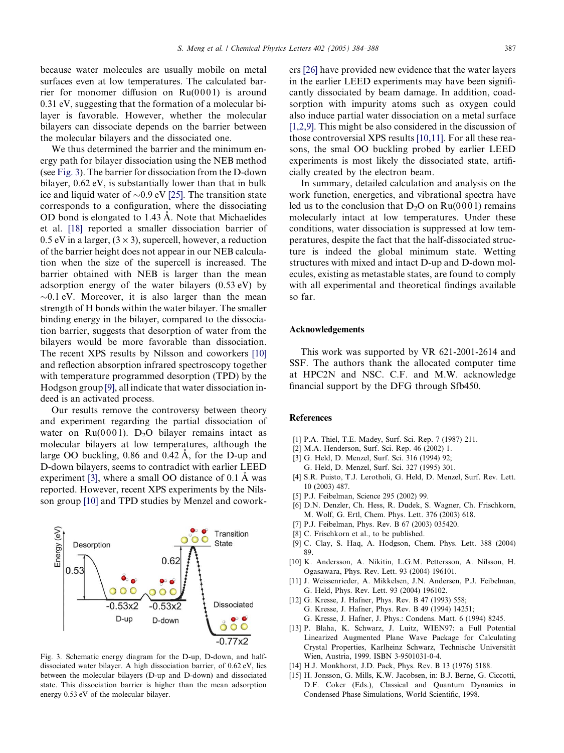<span id="page-3-0"></span>because water molecules are usually mobile on metal surfaces even at low temperatures. The calculated barrier for monomer diffusion on  $Ru(0001)$  is around 0.31 eV, suggesting that the formation of a molecular bilayer is favorable. However, whether the molecular bilayers can dissociate depends on the barrier between the molecular bilayers and the dissociated one.

We thus determined the barrier and the minimum energy path for bilayer dissociation using the NEB method (see Fig. 3). The barrier for dissociation from the D-down bilayer, 0.62 eV, is substantially lower than that in bulk ice and liquid water of  $\sim 0.9$  eV [\[25\]](#page-4-0). The transition state corresponds to a configuration, where the dissociating OD bond is elongated to 1.43 A. Note that Michaelides et al. [\[18\]](#page-4-0) reported a smaller dissociation barrier of 0.5 eV in a larger,  $(3 \times 3)$ , supercell, however, a reduction of the barrier height does not appear in our NEB calculation when the size of the supercell is increased. The barrier obtained with NEB is larger than the mean adsorption energy of the water bilayers (0.53 eV) by  $\sim$ 0.1 eV. Moreover, it is also larger than the mean strength of H bonds within the water bilayer. The smaller binding energy in the bilayer, compared to the dissociation barrier, suggests that desorption of water from the bilayers would be more favorable than dissociation. The recent XPS results by Nilsson and coworkers [10] and reflection absorption infrared spectroscopy together with temperature programmed desorption (TPD) by the Hodgson group [9], all indicate that water dissociation indeed is an activated process.

Our results remove the controversy between theory and experiment regarding the partial dissociation of water on  $Ru(0001)$ . D<sub>2</sub>O bilayer remains intact as molecular bilayers at low temperatures, although the large OO buckling,  $0.86$  and  $0.42 \text{ Å}$ , for the D-up and D-down bilayers, seems to contradict with earlier LEED experiment  $[3]$ , where a small OO distance of 0.1 A was reported. However, recent XPS experiments by the Nilsson group [10] and TPD studies by Menzel and cowork-



Fig. 3. Schematic energy diagram for the D-up, D-down, and halfdissociated water bilayer. A high dissociation barrier, of 0.62 eV, lies between the molecular bilayers (D-up and D-down) and dissociated state. This dissociation barrier is higher than the mean adsorption energy 0.53 eV of the molecular bilayer.

ers [\[26\]](#page-4-0) have provided new evidence that the water layers in the earlier LEED experiments may have been significantly dissociated by beam damage. In addition, coadsorption with impurity atoms such as oxygen could also induce partial water dissociation on a metal surface [1,2,9]. This might be also considered in the discussion of those controversial XPS results [10,11]. For all these reasons, the smal OO buckling probed by earlier LEED experiments is most likely the dissociated state, artificially created by the electron beam.

In summary, detailed calculation and analysis on the work function, energetics, and vibrational spectra have led us to the conclusion that  $D_2O$  on  $Ru(0001)$  remains molecularly intact at low temperatures. Under these conditions, water dissociation is suppressed at low temperatures, despite the fact that the half-dissociated structure is indeed the global minimum state. Wetting structures with mixed and intact D-up and D-down molecules, existing as metastable states, are found to comply with all experimental and theoretical findings available so far.

# Acknowledgements

This work was supported by VR 621-2001-2614 and SSF. The authors thank the allocated computer time at HPC2N and NSC. C.F. and M.W. acknowledge financial support by the DFG through Sfb450.

# References

- [1] P.A. Thiel, T.E. Madey, Surf. Sci. Rep. 7 (1987) 211.
- [2] M.A. Henderson, Surf. Sci. Rep. 46 (2002) 1.
- [3] G. Held, D. Menzel, Surf. Sci. 316 (1994) 92;
- G. Held, D. Menzel, Surf. Sci. 327 (1995) 301.
- [4] S.R. Puisto, T.J. Lerotholi, G. Held, D. Menzel, Surf. Rev. Lett. 10 (2003) 487.
- [5] P.J. Feibelman, Science 295 (2002) 99.
- [6] D.N. Denzler, Ch. Hess, R. Dudek, S. Wagner, Ch. Frischkorn, M. Wolf, G. Ertl, Chem. Phys. Lett. 376 (2003) 618.
- [7] P.J. Feibelman, Phys. Rev. B 67 (2003) 035420.
- [8] C. Frischkorn et al., to be published.
- [9] C. Clay, S. Haq, A. Hodgson, Chem. Phys. Lett. 388 (2004) 89.
- [10] K. Andersson, A. Nikitin, L.G.M. Pettersson, A. Nilsson, H. Ogasawara, Phys. Rev. Lett. 93 (2004) 196101.
- [11] J. Weissenrieder, A. Mikkelsen, J.N. Andersen, P.J. Feibelman, G. Held, Phys. Rev. Lett. 93 (2004) 196102.
- [12] G. Kresse, J. Hafner, Phys. Rev. B 47 (1993) 558; G. Kresse, J. Hafner, Phys. Rev. B 49 (1994) 14251;
	- G. Kresse, J. Hafner, J. Phys.: Condens. Matt. 6 (1994) 8245.
- [13] P. Blaha, K. Schwarz, J. Luitz, WIEN97: a Full Potential Linearized Augmented Plane Wave Package for Calculating Crystal Properties, Karlheinz Schwarz, Technische Universität Wien, Austria, 1999. ISBN 3-9501031-0-4.
- [14] H.J. Monkhorst, J.D. Pack, Phys. Rev. B 13 (1976) 5188.
- [15] H. Jonsson, G. Mills, K.W. Jacobsen, in: B.J. Berne, G. Ciccotti, D.F. Coker (Eds.), Classical and Quantum Dynamics in Condensed Phase Simulations, World Scientific, 1998.